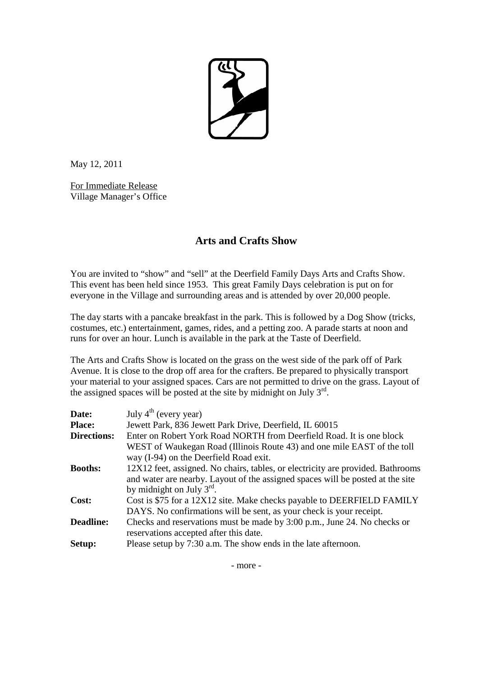

May 12, 2011

For Immediate Release Village Manager's Office

## **Arts and Crafts Show**

You are invited to "show" and "sell" at the Deerfield Family Days Arts and Crafts Show. This event has been held since 1953. This great Family Days celebration is put on for everyone in the Village and surrounding areas and is attended by over 20,000 people.

The day starts with a pancake breakfast in the park. This is followed by a Dog Show (tricks, costumes, etc.) entertainment, games, rides, and a petting zoo. A parade starts at noon and runs for over an hour. Lunch is available in the park at the Taste of Deerfield.

The Arts and Crafts Show is located on the grass on the west side of the park off of Park Avenue. It is close to the drop off area for the crafters. Be prepared to physically transport your material to your assigned spaces. Cars are not permitted to drive on the grass. Layout of the assigned spaces will be posted at the site by midnight on July  $3<sup>rd</sup>$ .

| Date:              | July $4th$ (every year)                                                                                                                                                                                    |
|--------------------|------------------------------------------------------------------------------------------------------------------------------------------------------------------------------------------------------------|
| <b>Place:</b>      | Jewett Park, 836 Jewett Park Drive, Deerfield, IL 60015                                                                                                                                                    |
| <b>Directions:</b> | Enter on Robert York Road NORTH from Deerfield Road. It is one block                                                                                                                                       |
|                    | WEST of Waukegan Road (Illinois Route 43) and one mile EAST of the toll<br>way (I-94) on the Deerfield Road exit.                                                                                          |
| <b>Booths:</b>     | 12X12 feet, assigned. No chairs, tables, or electricity are provided. Bathrooms<br>and water are nearby. Layout of the assigned spaces will be posted at the site<br>by midnight on July $3^{\text{rd}}$ . |
| Cost:              | Cost is \$75 for a 12X12 site. Make checks payable to DEERFIELD FAMILY<br>DAYS. No confirmations will be sent, as your check is your receipt.                                                              |
| <b>Deadline:</b>   | Checks and reservations must be made by 3:00 p.m., June 24. No checks or<br>reservations accepted after this date.                                                                                         |
| Setup:             | Please setup by 7:30 a.m. The show ends in the late afternoon.                                                                                                                                             |

- more -